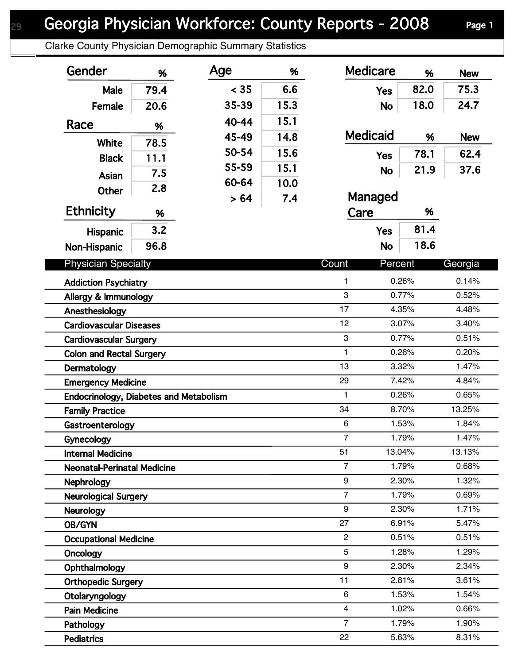Clarke County Physician Demographic Summary Statistics

| Gender                                        | %                             | Age   | %    | <b>Medicare</b>  | %      | <b>New</b> |
|-----------------------------------------------|-------------------------------|-------|------|------------------|--------|------------|
| Male                                          | 79.4                          | < 35  | 6.6  | <b>Yes</b>       | 82.0   | 75.3       |
| Female                                        | 20.6                          | 35-39 | 15.3 | <b>No</b>        | 18.0   | 24.7       |
| Race                                          |                               | 40-44 | 15.1 |                  |        |            |
|                                               | %                             | 45-49 | 14.8 | <b>Medicaid</b>  | %      | <b>New</b> |
| <b>White</b>                                  | 78.5                          | 50-54 | 15.6 |                  | 78.1   | 62.4       |
| <b>Black</b>                                  | 11.1                          | 55-59 | 15.1 | <b>Yes</b>       | 21.9   | 37.6       |
| Asian                                         | 7.5                           | 60-64 | 10.0 | <b>No</b>        |        |            |
| <b>Other</b>                                  | 2.8                           | > 64  | 7.4  | Managed          |        |            |
| <b>Ethnicity</b>                              | %                             |       |      | Care             | %      |            |
| Hispanic                                      | 3.2                           |       |      | <b>Yes</b>       | 81.4   |            |
| <b>Non-Hispanic</b>                           | 96.8                          |       |      | <b>No</b>        | 18.6   |            |
| <b>Physician Specialty</b>                    |                               |       |      | Count<br>Percent |        | Georgia    |
| <b>Addiction Psychiatry</b>                   |                               |       |      | 1                | 0.26%  | 0.14%      |
| Allergy & Immunology                          |                               |       | 3    | 0.77%            | 0.52%  |            |
| Anesthesiology                                |                               |       |      | 17               | 4.35%  | 4.48%      |
| <b>Cardiovascular Diseases</b>                |                               |       |      | 12               | 3.07%  | 3.40%      |
|                                               | <b>Cardiovascular Surgery</b> |       |      |                  | 0.77%  | 0.51%      |
| <b>Colon and Rectal Surgery</b>               |                               |       |      | $\mathbf{1}$     | 0.26%  | 0.20%      |
| Dermatology                                   |                               |       |      | 13               | 3.32%  | 1.47%      |
| <b>Emergency Medicine</b>                     |                               |       |      | 29               | 7.42%  | 4.84%      |
| <b>Endocrinology, Diabetes and Metabolism</b> |                               |       |      | 1                | 0.26%  | 0.65%      |
| <b>Family Practice</b>                        |                               |       |      | 34               | 8.70%  | 13.25%     |
| Gastroenterology                              |                               |       |      | 6                | 1.53%  | 1.84%      |
| Gynecology                                    |                               |       |      | $\overline{7}$   | 1.79%  | 1.47%      |
| <b>Internal Medicine</b>                      |                               |       |      | 51               | 13.04% | 13.13%     |
| <b>Neonatal-Perinatal Medicine</b>            |                               |       |      | $\overline{7}$   | 1.79%  | 0.68%      |
| <b>Nephrology</b>                             |                               |       |      | 9                | 2.30%  | 1.32%      |
| <b>Neurological Surgery</b>                   |                               |       |      | $\overline{7}$   | 1.79%  | 0.69%      |
| <b>Neurology</b>                              |                               |       |      | 9                | 2.30%  | 1.71%      |
| OB/GYN                                        |                               |       |      | 27               | 6.91%  | 5.47%      |
| <b>Occupational Medicine</b>                  |                               |       |      | $\overline{2}$   | 0.51%  | 0.51%      |
| Oncology                                      |                               |       |      | 5                | 1.28%  | 1.29%      |
| Ophthalmology                                 |                               |       |      | 9                | 2.30%  | 2.34%      |
| <b>Orthopedic Surgery</b>                     |                               |       |      | 11               | 2.81%  | 3.61%      |
| Otolaryngology                                |                               |       |      | 6                | 1.53%  | 1.54%      |
| <b>Pain Medicine</b>                          |                               |       |      | $\overline{4}$   | 1.02%  | 0.66%      |
| Pathology                                     |                               |       |      | $\overline{7}$   | 1.79%  | 1.90%      |
| <b>Pediatrics</b>                             |                               |       |      | 22               | 5.63%  | 8.31%      |